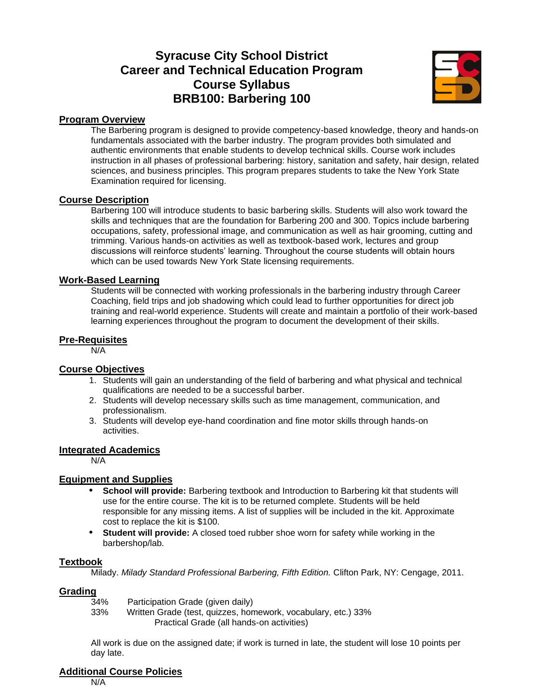# **Syracuse City School District Career and Technical Education Program Course Syllabus BRB100: Barbering 100**



# **Program Overview**

The Barbering program is designed to provide competency-based knowledge, theory and hands-on fundamentals associated with the barber industry. The program provides both simulated and authentic environments that enable students to develop technical skills. Course work includes instruction in all phases of professional barbering: history, sanitation and safety, hair design, related sciences, and business principles. This program prepares students to take the New York State Examination required for licensing.

# **Course Description**

Barbering 100 will introduce students to basic barbering skills. Students will also work toward the skills and techniques that are the foundation for Barbering 200 and 300. Topics include barbering occupations, safety, professional image, and communication as well as hair grooming, cutting and trimming. Various hands-on activities as well as textbook-based work, lectures and group discussions will reinforce students' learning. Throughout the course students will obtain hours which can be used towards New York State licensing requirements.

# **Work-Based Learning**

Students will be connected with working professionals in the barbering industry through Career Coaching, field trips and job shadowing which could lead to further opportunities for direct job training and real-world experience. Students will create and maintain a portfolio of their work-based learning experiences throughout the program to document the development of their skills.

# **Pre-Requisites**

N/A

# **Course Objectives**

- 1. Students will gain an understanding of the field of barbering and what physical and technical qualifications are needed to be a successful barber.
- 2. Students will develop necessary skills such as time management, communication, and professionalism.
- 3. Students will develop eye-hand coordination and fine motor skills through hands-on activities.

# **Integrated Academics**

N/A

# **Equipment and Supplies**

- **• School will provide:** Barbering textbook and Introduction to Barbering kit that students will use for the entire course. The kit is to be returned complete. Students will be held responsible for any missing items. A list of supplies will be included in the kit. Approximate cost to replace the kit is \$100.
- **• Student will provide:** A closed toed rubber shoe worn for safety while working in the barbershop/lab.

#### **Textbook**

Milady. *Milady Standard Professional Barbering, Fifth Edition.* Clifton Park, NY: Cengage, 2011.

#### **Grading**

| 34% | Participation Grade (given daily)                             |
|-----|---------------------------------------------------------------|
| 33% | Written Grade (test, quizzes, homework, vocabulary, etc.) 33% |
|     | Practical Grade (all hands-on activities)                     |

All work is due on the assigned date; if work is turned in late, the student will lose 10 points per day late.

# **Additional Course Policies**

N/A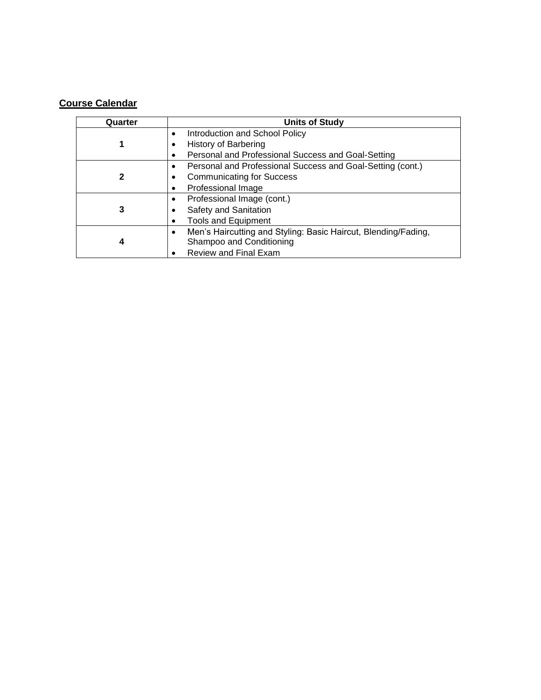# **Course Calendar**

| Quarter | <b>Units of Study</b>                                                                                                            |
|---------|----------------------------------------------------------------------------------------------------------------------------------|
|         | Introduction and School Policy<br>$\bullet$<br><b>History of Barbering</b><br>Personal and Professional Success and Goal-Setting |
| 2       | Personal and Professional Success and Goal-Setting (cont.)<br><b>Communicating for Success</b><br>Professional Image             |
| 3       | Professional Image (cont.)<br>٠<br>Safety and Sanitation<br><b>Tools and Equipment</b><br>٠                                      |
| 4       | Men's Haircutting and Styling: Basic Haircut, Blending/Fading,<br>٠<br>Shampoo and Conditioning<br><b>Review and Final Exam</b>  |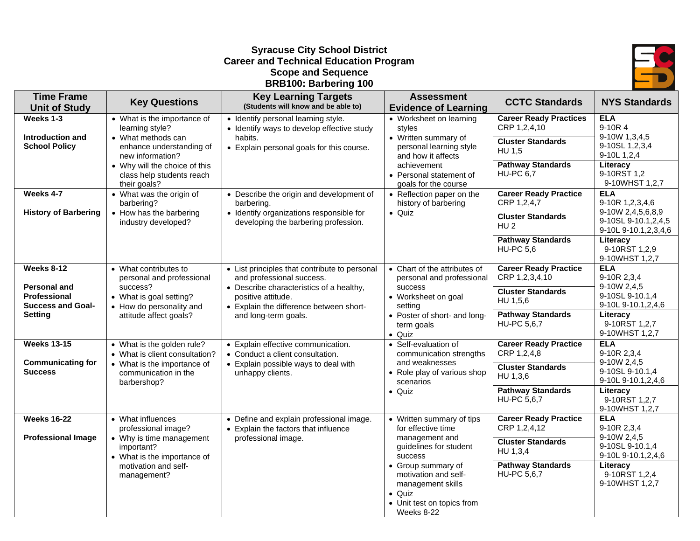# **Syracuse City School District Career and Technical Education Program Scope and Sequence BRB100: Barbering 100**



| <b>Time Frame</b><br><b>Unit of Study</b>                       | <b>Key Questions</b>                                                                                                 | <b>Key Learning Targets</b><br>(Students will know and be able to)                                                                        | <b>Assessment</b><br><b>Evidence of Learning</b>                                                                                     | <b>CCTC Standards</b>                                                               | <b>NYS Standards</b>                                                    |
|-----------------------------------------------------------------|----------------------------------------------------------------------------------------------------------------------|-------------------------------------------------------------------------------------------------------------------------------------------|--------------------------------------------------------------------------------------------------------------------------------------|-------------------------------------------------------------------------------------|-------------------------------------------------------------------------|
| Weeks 1-3<br>Introduction and<br><b>School Policy</b>           | • What is the importance of<br>learning style?<br>• What methods can<br>enhance understanding of<br>new information? | • Identify personal learning style.<br>• Identify ways to develop effective study<br>habits.<br>• Explain personal goals for this course. | • Worksheet on learning<br>styles<br>• Written summary of<br>personal learning style<br>and how it affects                           | <b>Career Ready Practices</b><br>CRP 1,2,4,10<br><b>Cluster Standards</b><br>HU 1,5 | <b>ELA</b><br>9-10R 4<br>9-10W 1,3,4,5<br>9-10SL 1,2,3,4<br>9-10L 1,2,4 |
|                                                                 | • Why will the choice of this<br>class help students reach<br>their goals?                                           |                                                                                                                                           | achievement<br>• Personal statement of<br>goals for the course                                                                       | <b>Pathway Standards</b><br><b>HU-PC 6,7</b>                                        | Literacy<br>9-10RST 1,2<br>9-10WHST 1,2,7                               |
| Weeks 4-7<br><b>History of Barbering</b>                        | • What was the origin of<br>barbering?<br>• How has the barbering                                                    | • Describe the origin and development of<br>barbering.<br>• Identify organizations responsible for                                        | • Reflection paper on the<br>history of barbering<br>$\bullet$ Quiz                                                                  | <b>Career Ready Practice</b><br>CRP 1,2,4,7                                         | <b>ELA</b><br>9-10R 1, 2, 3, 4, 6<br>9-10W 2,4,5,6,8,9                  |
|                                                                 | industry developed?                                                                                                  | developing the barbering profession.                                                                                                      |                                                                                                                                      | <b>Cluster Standards</b><br>HU <sub>2</sub>                                         | 9-10SL 9-10.1, 2, 4, 5<br>9-10L 9-10.1, 2, 3, 4, 6                      |
|                                                                 |                                                                                                                      |                                                                                                                                           |                                                                                                                                      | <b>Pathway Standards</b><br><b>HU-PC 5,6</b>                                        | Literacy<br>9-10RST 1,2,9<br>9-10WHST 1,2,7                             |
| Weeks 8-12                                                      | • What contributes to<br>personal and professional                                                                   | • List principles that contribute to personal<br>and professional success.                                                                | • Chart of the attributes of<br>personal and professional                                                                            | <b>Career Ready Practice</b><br>CRP 1,2,3,4,10                                      | <b>ELA</b><br>9-10R 2,3,4<br>9-10W 2,4,5                                |
| <b>Personal and</b><br>Professional<br><b>Success and Goal-</b> | success?<br>• What is goal setting?<br>• How do personality and                                                      | • Describe characteristics of a healthy,<br>positive attitude.<br>• Explain the difference between short-                                 | success<br>• Worksheet on goal<br>setting                                                                                            | <b>Cluster Standards</b><br>HU 1,5,6                                                | 9-10SL 9-10.1,4<br>9-10L 9-10.1,2,4,6                                   |
| Setting                                                         | attitude affect goals?                                                                                               | and long-term goals.                                                                                                                      | • Poster of short- and long-<br>term goals<br>$\bullet$ Quiz                                                                         | <b>Pathway Standards</b><br>HU-PC 5,6,7                                             | Literacy<br>9-10RST 1,2,7<br>9-10WHST 1,2,7                             |
| <b>Weeks 13-15</b>                                              | • What is the golden rule?<br>• What is client consultation?                                                         | • Explain effective communication.<br>• Conduct a client consultation.                                                                    | • Self-evaluation of<br>communication strengths                                                                                      | <b>Career Ready Practice</b><br>CRP 1,2,4,8                                         | <b>ELA</b><br>9-10R 2,3,4                                               |
| <b>Communicating for</b><br><b>Success</b>                      | • What is the importance of<br>communication in the<br>barbershop?                                                   | • Explain possible ways to deal with<br>unhappy clients.                                                                                  | and weaknesses<br>• Role play of various shop<br>scenarios                                                                           | <b>Cluster Standards</b><br>HU 1,3,6                                                | 9-10W 2,4,5<br>9-10SL 9-10.1,4<br>9-10L 9-10.1, 2, 4, 6                 |
|                                                                 |                                                                                                                      |                                                                                                                                           | $\bullet$ Quiz                                                                                                                       | <b>Pathway Standards</b><br><b>HU-PC 5,6,7</b>                                      | Literacy<br>9-10RST 1,2,7<br>9-10WHST 1,2,7                             |
| <b>Weeks 16-22</b>                                              | • What influences<br>professional image?                                                                             | • Define and explain professional image.<br>• Explain the factors that influence                                                          | • Written summary of tips<br>for effective time                                                                                      | <b>Career Ready Practice</b><br>CRP 1,2,4,12                                        | <b>ELA</b><br>9-10R 2,3,4<br>9-10W 2,4,5                                |
| <b>Professional Image</b>                                       | • Why is time management<br>important?<br>• What is the importance of                                                | professional image.                                                                                                                       | management and<br>guidelines for student<br>success                                                                                  | <b>Cluster Standards</b><br>HU 1,3,4                                                | 9-10SL 9-10.1,4<br>9-10L 9-10.1,2,4,6                                   |
|                                                                 | motivation and self-<br>management?                                                                                  |                                                                                                                                           | • Group summary of<br>motivation and self-<br>management skills<br>$\bullet$ Quiz<br>• Unit test on topics from<br><b>Weeks 8-22</b> | <b>Pathway Standards</b><br>HU-PC 5,6,7                                             | Literacy<br>9-10RST 1,2,4<br>9-10WHST 1,2,7                             |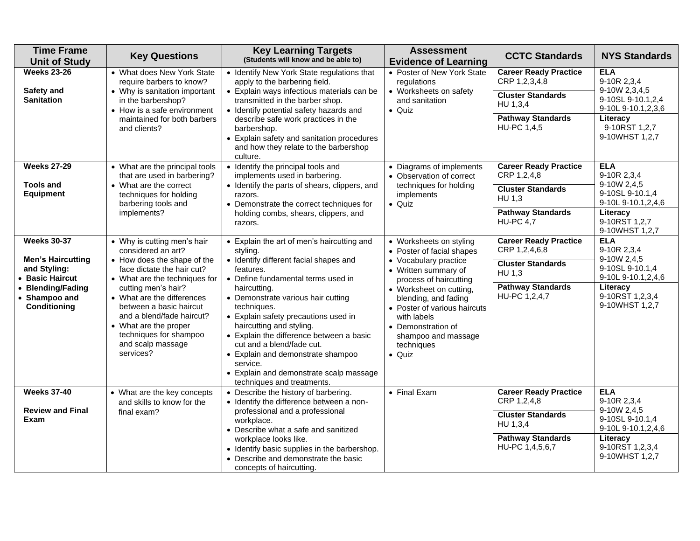| <b>Time Frame</b><br><b>Unit of Study</b>                   | <b>Key Questions</b>                                                                                                                                                                           | <b>Key Learning Targets</b><br>(Students will know and be able to)                                                                                                                                                                                                                                                                       | <b>Assessment</b><br><b>Evidence of Learning</b>                                                                                                                    | <b>CCTC Standards</b>                         | <b>NYS Standards</b>                                    |
|-------------------------------------------------------------|------------------------------------------------------------------------------------------------------------------------------------------------------------------------------------------------|------------------------------------------------------------------------------------------------------------------------------------------------------------------------------------------------------------------------------------------------------------------------------------------------------------------------------------------|---------------------------------------------------------------------------------------------------------------------------------------------------------------------|-----------------------------------------------|---------------------------------------------------------|
| <b>Weeks 23-26</b><br>Safety and                            | • What does New York State<br>require barbers to know?<br>• Why is sanitation important                                                                                                        | • Identify New York State regulations that<br>apply to the barbering field.<br>• Explain ways infectious materials can be                                                                                                                                                                                                                | • Poster of New York State<br>regulations<br>• Worksheets on safety                                                                                                 | <b>Career Ready Practice</b><br>CRP 1,2,3,4,8 | <b>ELA</b><br>9-10R 2,3,4<br>9-10W 2,3,4,5              |
| <b>Sanitation</b>                                           | in the barbershop?<br>• How is a safe environment                                                                                                                                              | transmitted in the barber shop.<br>• Identify potential safety hazards and                                                                                                                                                                                                                                                               | and sanitation<br>$\bullet$ Quiz                                                                                                                                    | <b>Cluster Standards</b><br>HU 1.3.4          | 9-10SL 9-10.1,2,4<br>9-10L 9-10.1, 2, 3, 6              |
|                                                             | maintained for both barbers<br>and clients?                                                                                                                                                    | describe safe work practices in the<br>barbershop.<br>• Explain safety and sanitation procedures<br>and how they relate to the barbershop<br>culture.                                                                                                                                                                                    |                                                                                                                                                                     | <b>Pathway Standards</b><br>HU-PC 1,4,5       | Literacy<br>9-10RST 1,2,7<br>9-10WHST 1,2,7             |
| <b>Weeks 27-29</b>                                          | • What are the principal tools<br>that are used in barbering?                                                                                                                                  | • Identify the principal tools and<br>implements used in barbering.                                                                                                                                                                                                                                                                      | • Diagrams of implements<br>• Observation of correct                                                                                                                | <b>Career Ready Practice</b><br>CRP 1,2,4,8   | <b>ELA</b><br>9-10R 2,3,4                               |
| <b>Tools and</b><br><b>Equipment</b>                        | • What are the correct<br>techniques for holding<br>barbering tools and                                                                                                                        | • Identify the parts of shears, clippers, and<br>razors.<br>• Demonstrate the correct techniques for                                                                                                                                                                                                                                     | techniques for holding<br>implements<br>· Quiz                                                                                                                      | <b>Cluster Standards</b><br>HU 1.3            | 9-10W 2,4,5<br>9-10SL 9-10.1,4<br>9-10L 9-10.1, 2, 4, 6 |
|                                                             | implements?                                                                                                                                                                                    | holding combs, shears, clippers, and<br>razors.                                                                                                                                                                                                                                                                                          |                                                                                                                                                                     | <b>Pathway Standards</b><br><b>HU-PC 4,7</b>  | Literacy<br>9-10RST 1,2,7<br>9-10WHST 1,2,7             |
| <b>Weeks 30-37</b>                                          | • Why is cutting men's hair<br>considered an art?                                                                                                                                              | • Explain the art of men's haircutting and<br>styling.                                                                                                                                                                                                                                                                                   | • Worksheets on styling<br>• Poster of facial shapes                                                                                                                | <b>Career Ready Practice</b><br>CRP 1,2,4,6,8 | <b>ELA</b><br>9-10R 2,3,4                               |
| <b>Men's Haircutting</b><br>and Styling:<br>• Basic Haircut | • How does the shape of the<br>face dictate the hair cut?<br>• What are the techniques for                                                                                                     | • Identify different facial shapes and<br>features.<br>• Define fundamental terms used in                                                                                                                                                                                                                                                | • Vocabulary practice<br>• Written summary of<br>process of haircutting                                                                                             | <b>Cluster Standards</b><br>HU 1,3            | 9-10W 2,4,5<br>9-10SL 9-10.1,4<br>9-10L 9-10.1, 2, 4, 6 |
| • Blending/Fading<br>• Shampoo and<br>Conditioning          | cutting men's hair?<br>• What are the differences<br>between a basic haircut<br>and a blend/fade haircut?<br>• What are the proper<br>techniques for shampoo<br>and scalp massage<br>services? | haircutting.<br>• Demonstrate various hair cutting<br>techniques.<br>• Explain safety precautions used in<br>haircutting and styling.<br>• Explain the difference between a basic<br>cut and a blend/fade cut.<br>• Explain and demonstrate shampoo<br>service.<br>• Explain and demonstrate scalp massage<br>techniques and treatments. | • Worksheet on cutting,<br>blending, and fading<br>• Poster of various haircuts<br>with labels<br>• Demonstration of<br>shampoo and massage<br>techniques<br>• Quiz | <b>Pathway Standards</b><br>HU-PC 1,2,4,7     | Literacy<br>9-10RST 1,2,3,4<br>9-10WHST 1,2,7           |
| <b>Weeks 37-40</b>                                          | • What are the key concepts<br>and skills to know for the                                                                                                                                      | • Describe the history of barbering.<br>• Identify the difference between a non-                                                                                                                                                                                                                                                         | • Final Exam                                                                                                                                                        | <b>Career Ready Practice</b><br>CRP 1,2,4,8   | <b>ELA</b><br>9-10R 2,3,4                               |
| <b>Review and Final</b><br>Exam                             | final exam?                                                                                                                                                                                    | professional and a professional<br>workplace.<br>• Describe what a safe and sanitized                                                                                                                                                                                                                                                    |                                                                                                                                                                     | <b>Cluster Standards</b><br>HU 1,3,4          | 9-10W 2,4,5<br>9-10SL 9-10.1,4<br>9-10L 9-10.1, 2, 4, 6 |
|                                                             |                                                                                                                                                                                                | workplace looks like.<br>• Identify basic supplies in the barbershop.<br>• Describe and demonstrate the basic<br>concepts of haircutting.                                                                                                                                                                                                |                                                                                                                                                                     | <b>Pathway Standards</b><br>HU-PC 1,4,5,6,7   | Literacy<br>9-10RST 1,2,3,4<br>9-10WHST 1,2,7           |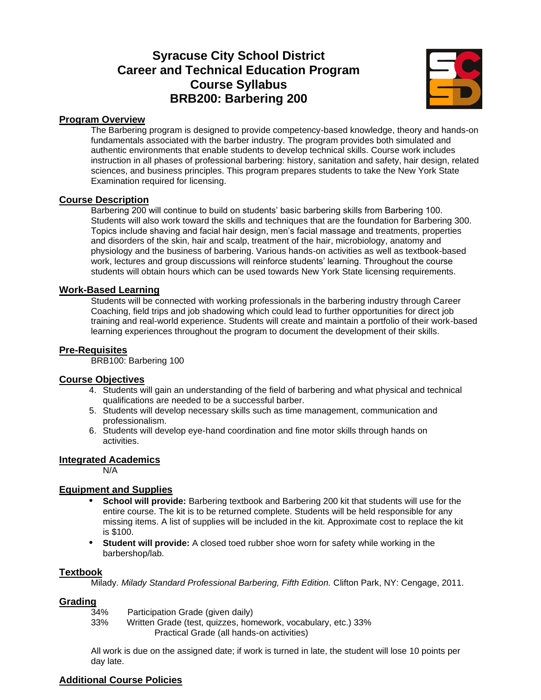# **Syracuse City School District Career and Technical Education Program Course Syllabus BRB200: Barbering 200**



# **Program Overview**

The Barbering program is designed to provide competency-based knowledge, theory and hands-on fundamentals associated with the barber industry. The program provides both simulated and authentic environments that enable students to develop technical skills. Course work includes instruction in all phases of professional barbering: history, sanitation and safety, hair design, related sciences, and business principles. This program prepares students to take the New York State Examination required for licensing.

# **Course Description**

Barbering 200 will continue to build on students' basic barbering skills from Barbering 100. Students will also work toward the skills and techniques that are the foundation for Barbering 300. Topics include shaving and facial hair design, men's facial massage and treatments, properties and disorders of the skin, hair and scalp, treatment of the hair, microbiology, anatomy and physiology and the business of barbering. Various hands-on activities as well as textbook-based work, lectures and group discussions will reinforce students' learning. Throughout the course students will obtain hours which can be used towards New York State licensing requirements.

#### **Work-Based Learning**

Students will be connected with working professionals in the barbering industry through Career Coaching, field trips and job shadowing which could lead to further opportunities for direct job training and real-world experience. Students will create and maintain a portfolio of their work-based learning experiences throughout the program to document the development of their skills.

# **Pre-Requisites**

BRB100: Barbering 100

# **Course Objectives**

- 4. Students will gain an understanding of the field of barbering and what physical and technical qualifications are needed to be a successful barber.
- 5. Students will develop necessary skills such as time management, communication and professionalism.
- 6. Students will develop eye-hand coordination and fine motor skills through hands on activities.

# **Integrated Academics**

N/A

# **Equipment and Supplies**

- **• School will provide:** Barbering textbook and Barbering 200 kit that students will use for the entire course. The kit is to be returned complete. Students will be held responsible for any missing items. A list of supplies will be included in the kit. Approximate cost to replace the kit is \$100.
- **• Student will provide:** A closed toed rubber shoe worn for safety while working in the barbershop/lab.

# **Textbook**

Milady. *Milady Standard Professional Barbering, Fifth Edition.* Clifton Park, NY: Cengage, 2011.

# Grading<br>34%

- Participation Grade (given daily)
- 33% Written Grade (test, quizzes, homework, vocabulary, etc.) 33% Practical Grade (all hands-on activities)

All work is due on the assigned date; if work is turned in late, the student will lose 10 points per day late.

# **Additional Course Policies**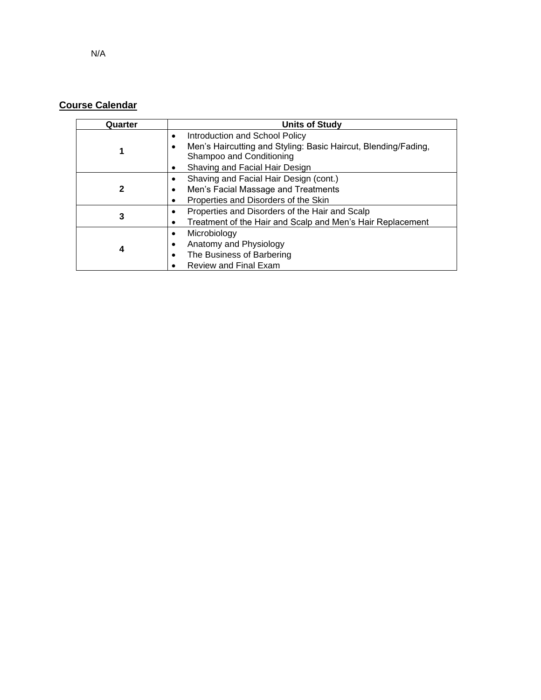# **Course Calendar**

| Quarter | <b>Units of Study</b>                                                                                                                                               |
|---------|---------------------------------------------------------------------------------------------------------------------------------------------------------------------|
|         | Introduction and School Policy<br>٠<br>Men's Haircutting and Styling: Basic Haircut, Blending/Fading,<br>Shampoo and Conditioning<br>Shaving and Facial Hair Design |
| 2       | Shaving and Facial Hair Design (cont.)<br>Men's Facial Massage and Treatments<br>Properties and Disorders of the Skin                                               |
| 3       | Properties and Disorders of the Hair and Scalp<br>٠<br>Treatment of the Hair and Scalp and Men's Hair Replacement                                                   |
| 4       | Microbiology<br>٠<br>Anatomy and Physiology<br>The Business of Barbering<br><b>Review and Final Exam</b>                                                            |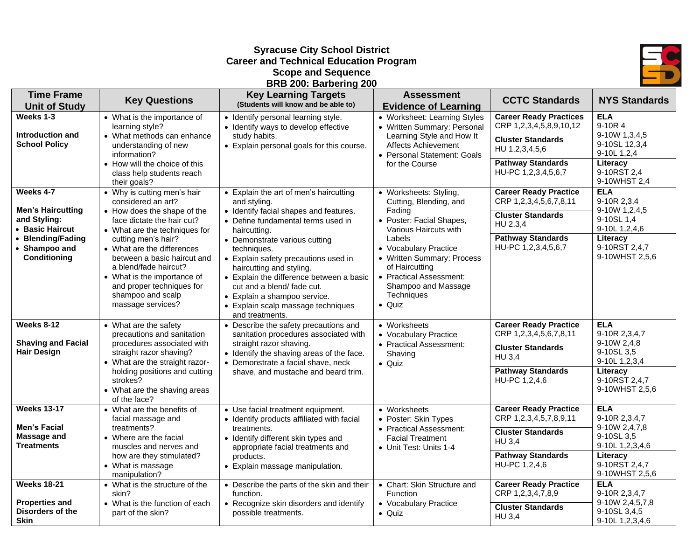# **Syracuse City School District Career and Technical Education Program Scope and Sequence BRB 200: Barbering 200**



| <b>Time Frame</b><br><b>Unit of Study</b>                                                                                      | <b>Key Questions</b>                                                                                                                                                                                                                                                                                                                                               | <b>Key Learning Targets</b><br>(Students will know and be able to)                                                                                                                                                                                                                                                                                                                                                                           | <b>Assessment</b><br><b>Evidence of Learning</b>                                                                                                                                                                                                                             | <b>CCTC Standards</b>                                                                                                                                     | <b>NYS Standards</b>                                                                                                         |
|--------------------------------------------------------------------------------------------------------------------------------|--------------------------------------------------------------------------------------------------------------------------------------------------------------------------------------------------------------------------------------------------------------------------------------------------------------------------------------------------------------------|----------------------------------------------------------------------------------------------------------------------------------------------------------------------------------------------------------------------------------------------------------------------------------------------------------------------------------------------------------------------------------------------------------------------------------------------|------------------------------------------------------------------------------------------------------------------------------------------------------------------------------------------------------------------------------------------------------------------------------|-----------------------------------------------------------------------------------------------------------------------------------------------------------|------------------------------------------------------------------------------------------------------------------------------|
| Weeks 1-3<br>Introduction and<br><b>School Policy</b>                                                                          | • What is the importance of<br>learning style?<br>• What methods can enhance<br>understanding of new<br>information?<br>• How will the choice of this<br>class help students reach<br>their goals?                                                                                                                                                                 | • Identify personal learning style.<br>• Identify ways to develop effective<br>study habits.<br>• Explain personal goals for this course.                                                                                                                                                                                                                                                                                                    | • Worksheet: Learning Styles<br>• Written Summary: Personal<br>Learning Style and How It<br>Affects Achievement<br>• Personal Statement: Goals<br>for the Course                                                                                                             | <b>Career Ready Practices</b><br>CRP 1,2,3,4,5,8,9,10,12<br><b>Cluster Standards</b><br>HU 1,2,3,4,5,6<br><b>Pathway Standards</b><br>HU-PC 1,2,3,4,5,6,7 | <b>ELA</b><br>9-10R 4<br>9-10W 1,3,4,5<br>9-10SL 12,3,4<br>9-10L 1,2,4<br>Literacy<br>9-10RST 2,4<br>9-10WHST 2,4            |
| Weeks 4-7<br><b>Men's Haircutting</b><br>and Styling:<br>• Basic Haircut<br>• Blending/Fading<br>• Shampoo and<br>Conditioning | • Why is cutting men's hair<br>considered an art?<br>• How does the shape of the<br>face dictate the hair cut?<br>• What are the techniques for<br>cutting men's hair?<br>• What are the differences<br>between a basic haircut and<br>a blend/fade haircut?<br>• What is the importance of<br>and proper techniques for<br>shampoo and scalp<br>massage services? | • Explain the art of men's haircutting<br>and styling.<br>• Identify facial shapes and features.<br>• Define fundamental terms used in<br>haircutting.<br>• Demonstrate various cutting<br>techniques.<br>• Explain safety precautions used in<br>haircutting and styling.<br>• Explain the difference between a basic<br>cut and a blend/fade cut.<br>• Explain a shampoo service.<br>• Explain scalp massage techniques<br>and treatments. | • Worksheets: Styling,<br>Cutting, Blending, and<br>Fading<br>• Poster: Facial Shapes,<br>Various Haircuts with<br>Labels<br>• Vocabulary Practice<br>• Written Summary: Process<br>of Haircutting<br>• Practical Assessment:<br>Shampoo and Massage<br>Techniques<br>• Quiz | <b>Career Ready Practice</b><br>CRP 1,2,3,4,5,6,7,8,11<br><b>Cluster Standards</b><br>HU 2,3,4<br><b>Pathway Standards</b><br>HU-PC 1,2,3,4,5,6,7         | <b>ELA</b><br>9-10R 2,3,4<br>9-10W 1,2,4,5<br>9-10SL 1,4<br>9-10L 1,2,4,6<br>Literacy<br>9-10RST 2,4,7<br>9-10WHST 2,5,6     |
| Weeks 8-12<br><b>Shaving and Facial</b><br><b>Hair Design</b>                                                                  | • What are the safety<br>precautions and sanitation<br>procedures associated with<br>straight razor shaving?<br>• What are the straight razor-<br>holding positions and cutting<br>strokes?<br>• What are the shaving areas<br>of the face?                                                                                                                        | • Describe the safety precautions and<br>sanitation procedures associated with<br>straight razor shaving.<br>• Identify the shaving areas of the face.<br>• Demonstrate a facial shave, neck<br>shave, and mustache and beard trim.                                                                                                                                                                                                          | • Worksheets<br>• Vocabulary Practice<br>• Practical Assessment:<br>Shaving<br>• Quiz                                                                                                                                                                                        | <b>Career Ready Practice</b><br>CRP 1,2,3,4,5,6,7,8,11<br><b>Cluster Standards</b><br><b>HU 3,4</b><br><b>Pathway Standards</b><br>HU-PC 1,2,4,6          | <b>ELA</b><br>9-10R 2,3,4,7<br>9-10W 2,4,8<br>9-10SL 3,5<br>9-10L 1,2,3,4<br>Literacy<br>9-10RST 2,4,7<br>9-10WHST 2,5,6     |
| <b>Weeks 13-17</b><br>Men's Facial<br><b>Massage and</b><br><b>Treatments</b>                                                  | • What are the benefits of<br>facial massage and<br>treatments?<br>• Where are the facial<br>muscles and nerves and<br>how are they stimulated?<br>• What is massage<br>manipulation?                                                                                                                                                                              | • Use facial treatment equipment.<br>• Identify products affiliated with facial<br>treatments.<br>• Identify different skin types and<br>appropriate facial treatments and<br>products.<br>• Explain massage manipulation.                                                                                                                                                                                                                   | • Worksheets<br>• Poster: Skin Types<br>• Practical Assessment:<br><b>Facial Treatment</b><br>• Unit Test: Units 1-4                                                                                                                                                         | <b>Career Ready Practice</b><br>CRP 1,2,3,4,5,7,8,9,11<br><b>Cluster Standards</b><br><b>HU 3.4</b><br><b>Pathway Standards</b><br>HU-PC 1,2,4,6          | <b>ELA</b><br>9-10R 2,3,4,7<br>9-10W 2,4,7,8<br>9-10SL 3.5<br>9-10L 1,2,3,4,6<br>Literacy<br>9-10RST 2,4,7<br>9-10WHST 2,5,6 |
| <b>Weeks 18-21</b><br><b>Properties and</b><br>Disorders of the<br><b>Skin</b>                                                 | • What is the structure of the<br>skin?<br>• What is the function of each<br>part of the skin?                                                                                                                                                                                                                                                                     | • Describe the parts of the skin and their<br>function.<br>• Recognize skin disorders and identify<br>possible treatments.                                                                                                                                                                                                                                                                                                                   | • Chart: Skin Structure and<br><b>Function</b><br>• Vocabulary Practice<br>· Quiz                                                                                                                                                                                            | <b>Career Ready Practice</b><br>CRP 1,2,3,4,7,8,9<br><b>Cluster Standards</b><br><b>HU 3,4</b>                                                            | <b>ELA</b><br>9-10R 2,3,4,7<br>9-10W 2,4,5,7,8<br>9-10SL 3,4,5<br>9-10L 1,2,3,4,6                                            |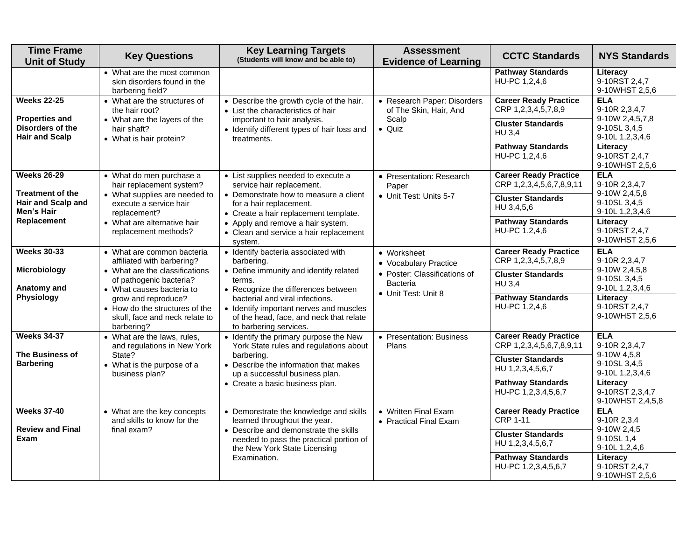| <b>Time Frame</b><br><b>Unit of Study</b>                          | <b>Key Questions</b>                                                                                  | <b>Key Learning Targets</b><br>(Students will know and be able to)                                                                              | <b>Assessment</b><br><b>Evidence of Learning</b>      | <b>CCTC Standards</b>                                    | <b>NYS Standards</b>                               |
|--------------------------------------------------------------------|-------------------------------------------------------------------------------------------------------|-------------------------------------------------------------------------------------------------------------------------------------------------|-------------------------------------------------------|----------------------------------------------------------|----------------------------------------------------|
|                                                                    | • What are the most common<br>skin disorders found in the<br>barbering field?                         |                                                                                                                                                 |                                                       | <b>Pathway Standards</b><br>HU-PC 1,2,4,6                | Literacy<br>9-10RST 2,4,7<br>9-10WHST 2,5,6        |
| <b>Weeks 22-25</b>                                                 | • What are the structures of<br>the hair root?                                                        | • Describe the growth cycle of the hair.<br>• List the characteristics of hair                                                                  | • Research Paper: Disorders<br>of The Skin, Hair, And | <b>Career Ready Practice</b><br>CRP 1,2,3,4,5,7,8,9      | <b>ELA</b><br>9-10R 2,3,4,7                        |
| <b>Properties and</b><br>Disorders of the<br><b>Hair and Scalp</b> | • What are the layers of the<br>hair shaft?<br>• What is hair protein?                                | important to hair analysis.<br>• Identify different types of hair loss and<br>treatments.                                                       | Scalp<br>$\bullet$ Quiz                               | <b>Cluster Standards</b><br><b>HU 3.4</b>                | 9-10W 2,4,5,7,8<br>9-10SL 3,4,5<br>9-10L 1,2,3,4,6 |
|                                                                    |                                                                                                       |                                                                                                                                                 |                                                       | <b>Pathway Standards</b><br>HU-PC 1,2,4,6                | Literacy<br>9-10RST 2,4,7<br>9-10WHST 2,5,6        |
| <b>Weeks 26-29</b><br><b>Treatment of the</b>                      | • What do men purchase a<br>hair replacement system?                                                  | • List supplies needed to execute a<br>service hair replacement.                                                                                | • Presentation: Research<br>Paper                     | <b>Career Ready Practice</b><br>CRP 1,2,3,4,5,6,7,8,9,11 | <b>ELA</b><br>9-10R 2,3,4,7                        |
| Hair and Scalp and<br>Men's Hair                                   | • What supplies are needed to<br>execute a service hair<br>replacement?                               | • Demonstrate how to measure a client<br>for a hair replacement.<br>• Create a hair replacement template.                                       | • Unit Test: Units 5-7                                | <b>Cluster Standards</b><br>HU 3,4,5,6                   | 9-10W 2,4,5,8<br>9-10SL 3,4,5<br>9-10L 1,2,3,4,6   |
| Replacement                                                        | • What are alternative hair<br>replacement methods?                                                   | • Apply and remove a hair system.<br>• Clean and service a hair replacement<br>system.                                                          |                                                       | <b>Pathway Standards</b><br>HU-PC 1,2,4,6                | Literacy<br>9-10RST 2,4,7<br>9-10WHST 2,5,6        |
| <b>Weeks 30-33</b>                                                 | • What are common bacteria<br>affiliated with barbering?                                              | • Identify bacteria associated with<br>barbering.                                                                                               | • Worksheet<br>• Vocabulary Practice                  | <b>Career Ready Practice</b><br>CRP 1,2,3,4,5,7,8,9      | <b>ELA</b><br>9-10R 2,3,4,7                        |
| Microbiology<br>Anatomy and                                        | • What are the classifications<br>of pathogenic bacteria?<br>• What causes bacteria to                | • Define immunity and identify related<br>terms.<br>• Recognize the differences between                                                         | • Poster: Classifications of<br><b>Bacteria</b>       | <b>Cluster Standards</b><br><b>HU 3.4</b>                | 9-10W 2,4,5,8<br>9-10SL 3,4,5<br>9-10L 1,2,3,4,6   |
| <b>Physiology</b>                                                  | grow and reproduce?<br>• How do the structures of the<br>skull, face and neck relate to<br>barbering? | bacterial and viral infections.<br>• Identify important nerves and muscles<br>of the head, face, and neck that relate<br>to barbering services. | • Unit Test: Unit 8                                   | <b>Pathway Standards</b><br>HU-PC 1,2,4,6                | Literacy<br>9-10RST 2,4,7<br>9-10WHST 2,5,6        |
| <b>Weeks 34-37</b><br>The Business of                              | • What are the laws, rules,<br>and regulations in New York                                            | • Identify the primary purpose the New<br>York State rules and regulations about                                                                | • Presentation: Business<br>Plans                     | <b>Career Ready Practice</b><br>CRP 1,2,3,4,5,6,7,8,9,11 | <b>ELA</b><br>9-10R 2,3,4,7                        |
| <b>Barbering</b>                                                   | State?<br>• What is the purpose of a<br>business plan?                                                | barbering.<br>• Describe the information that makes<br>up a successful business plan.                                                           |                                                       | <b>Cluster Standards</b><br>HU 1,2,3,4,5,6,7             | 9-10W 4,5,8<br>9-10SL 3,4,5<br>9-10L 1,2,3,4,6     |
|                                                                    |                                                                                                       | • Create a basic business plan.                                                                                                                 |                                                       | <b>Pathway Standards</b><br>HU-PC 1,2,3,4,5,6,7          | Literacy<br>9-10RST 2,3,4,7<br>9-10WHST 2,4,5,8    |
| <b>Weeks 37-40</b>                                                 | • What are the key concepts<br>and skills to know for the                                             | • Demonstrate the knowledge and skills<br>learned throughout the year.                                                                          | • Written Final Exam<br>• Practical Final Exam        | <b>Career Ready Practice</b><br><b>CRP 1-11</b>          | <b>ELA</b><br>9-10R 2,3,4                          |
| <b>Review and Final</b><br>Exam                                    | final exam?                                                                                           | • Describe and demonstrate the skills<br>needed to pass the practical portion of<br>the New York State Licensing                                |                                                       | <b>Cluster Standards</b><br>HU 1,2,3,4,5,6,7             | 9-10W 2,4,5<br>9-10SL 1,4<br>9-10L 1,2,4,6         |
|                                                                    |                                                                                                       | Examination.                                                                                                                                    |                                                       | <b>Pathway Standards</b><br>HU-PC 1,2,3,4,5,6,7          | Literacy<br>9-10RST 2,4,7<br>9-10WHST 2,5,6        |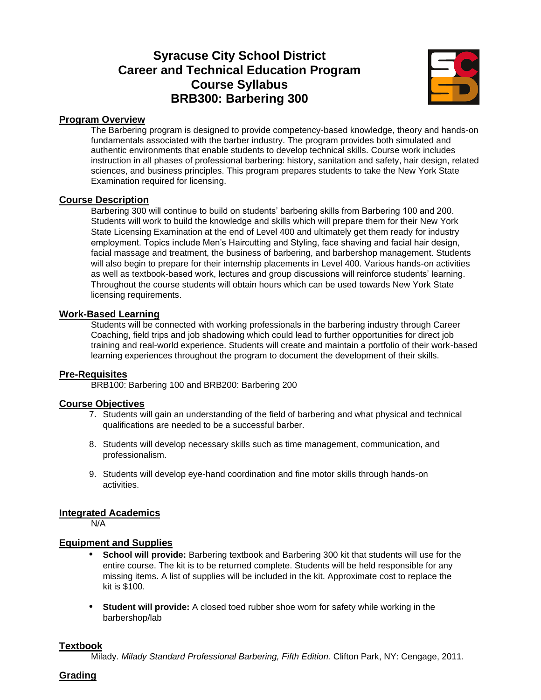# **Syracuse City School District Career and Technical Education Program Course Syllabus BRB300: Barbering 300**



# **Program Overview**

The Barbering program is designed to provide competency-based knowledge, theory and hands-on fundamentals associated with the barber industry. The program provides both simulated and authentic environments that enable students to develop technical skills. Course work includes instruction in all phases of professional barbering: history, sanitation and safety, hair design, related sciences, and business principles. This program prepares students to take the New York State Examination required for licensing.

# **Course Description**

Barbering 300 will continue to build on students' barbering skills from Barbering 100 and 200. Students will work to build the knowledge and skills which will prepare them for their New York State Licensing Examination at the end of Level 400 and ultimately get them ready for industry employment. Topics include Men's Haircutting and Styling, face shaving and facial hair design, facial massage and treatment, the business of barbering, and barbershop management. Students will also begin to prepare for their internship placements in Level 400. Various hands-on activities as well as textbook-based work, lectures and group discussions will reinforce students' learning. Throughout the course students will obtain hours which can be used towards New York State licensing requirements.

# **Work-Based Learning**

Students will be connected with working professionals in the barbering industry through Career Coaching, field trips and job shadowing which could lead to further opportunities for direct job training and real-world experience. Students will create and maintain a portfolio of their work-based learning experiences throughout the program to document the development of their skills.

# **Pre-Requisites**

BRB100: Barbering 100 and BRB200: Barbering 200

# **Course Objectives**

- 7. Students will gain an understanding of the field of barbering and what physical and technical qualifications are needed to be a successful barber.
- 8. Students will develop necessary skills such as time management, communication, and professionalism.
- 9. Students will develop eye-hand coordination and fine motor skills through hands-on activities.

# **Integrated Academics**

N/A

# **Equipment and Supplies**

- **• School will provide:** Barbering textbook and Barbering 300 kit that students will use for the entire course. The kit is to be returned complete. Students will be held responsible for any missing items. A list of supplies will be included in the kit. Approximate cost to replace the kit is \$100.
- **• Student will provide:** A closed toed rubber shoe worn for safety while working in the barbershop/lab

# **Textbook**

Milady. *Milady Standard Professional Barbering, Fifth Edition.* Clifton Park, NY: Cengage, 2011.

# **Grading**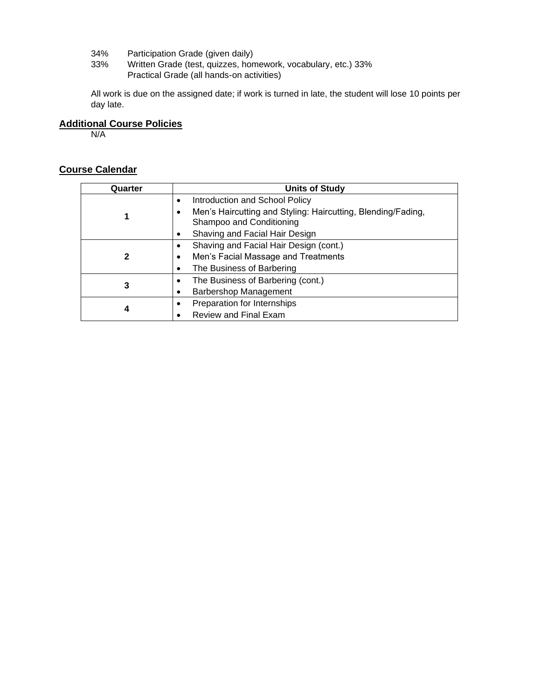- 34% Participation Grade (given daily)<br>33% Written Grade (test, quizzes, hon
- Written Grade (test, quizzes, homework, vocabulary, etc.) 33% Practical Grade (all hands-on activities)

All work is due on the assigned date; if work is turned in late, the student will lose 10 points per day late.

# **Additional Course Policies**

N/A

# **Course Calendar**

| Quarter | <b>Units of Study</b>                                                                         |
|---------|-----------------------------------------------------------------------------------------------|
|         | Introduction and School Policy<br>٠                                                           |
|         | Men's Haircutting and Styling: Haircutting, Blending/Fading,<br>٠<br>Shampoo and Conditioning |
|         | Shaving and Facial Hair Design                                                                |
|         | Shaving and Facial Hair Design (cont.)<br>٠                                                   |
| 2       | Men's Facial Massage and Treatments<br>٠                                                      |
|         | The Business of Barbering                                                                     |
| 3       | The Business of Barbering (cont.)                                                             |
|         | <b>Barbershop Management</b>                                                                  |
|         | Preparation for Internships                                                                   |
| 4       | <b>Review and Final Exam</b>                                                                  |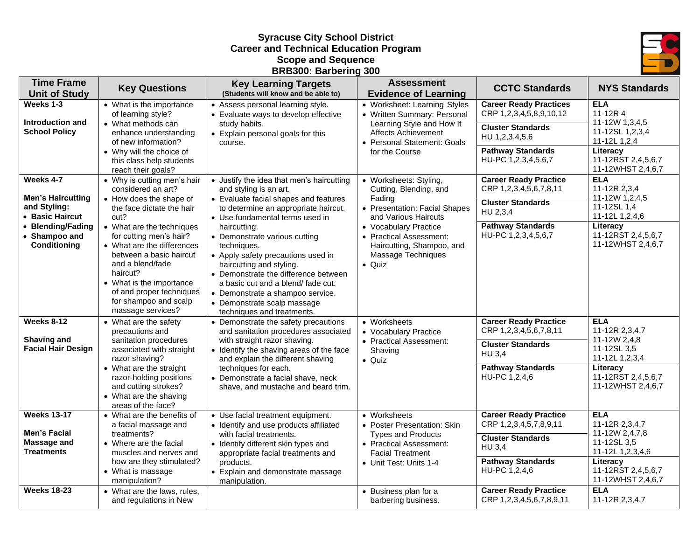# **Syracuse City School District Career and Technical Education Program Scope and Sequence BRB300: Barbering 300**



| <b>Time Frame</b><br><b>Unit of Study</b>                             | <b>Key Questions</b>                                                                                                                                          | <b>Key Learning Targets</b><br>(Students will know and be able to)                                                                                                                                                                           | <b>Assessment</b><br><b>Evidence of Learning</b>                                                                                               | <b>CCTC Standards</b>                                                                                  | <b>NYS Standards</b>                                                       |
|-----------------------------------------------------------------------|---------------------------------------------------------------------------------------------------------------------------------------------------------------|----------------------------------------------------------------------------------------------------------------------------------------------------------------------------------------------------------------------------------------------|------------------------------------------------------------------------------------------------------------------------------------------------|--------------------------------------------------------------------------------------------------------|----------------------------------------------------------------------------|
| Weeks 1-3<br>Introduction and<br><b>School Policy</b>                 | • What is the importance<br>of learning style?<br>• What methods can<br>enhance understanding<br>of new information?                                          | • Assess personal learning style.<br>• Evaluate ways to develop effective<br>study habits.<br>• Explain personal goals for this<br>course.                                                                                                   | • Worksheet: Learning Styles<br>• Written Summary: Personal<br>Learning Style and How It<br>Affects Achievement<br>• Personal Statement: Goals | <b>Career Ready Practices</b><br>CRP 1,2,3,4,5,8,9,10,12<br><b>Cluster Standards</b><br>HU 1,2,3,4,5,6 | <b>ELA</b><br>11-12R4<br>11-12W 1,3,4,5<br>11-12SL 1,2,3,4<br>11-12L 1,2,4 |
|                                                                       | • Why will the choice of<br>this class help students<br>reach their goals?                                                                                    |                                                                                                                                                                                                                                              | for the Course                                                                                                                                 | <b>Pathway Standards</b><br>HU-PC 1,2,3,4,5,6,7                                                        | Literacy<br>11-12RST 2,4,5,6,7<br>11-12WHST 2,4,6,7                        |
| Weeks 4-7<br><b>Men's Haircutting</b><br>and Styling:                 | • Why is cutting men's hair<br>considered an art?<br>• How does the shape of<br>the face dictate the hair                                                     | • Justify the idea that men's haircutting<br>and styling is an art.<br>• Evaluate facial shapes and features<br>to determine an appropriate haircut.                                                                                         | • Worksheets: Styling,<br>Cutting, Blending, and<br>Fading<br>• Presentation: Facial Shapes                                                    | <b>Career Ready Practice</b><br>CRP 1,2,3,4,5,6,7,8,11<br><b>Cluster Standards</b>                     | <b>ELA</b><br>11-12R 2,3,4<br>11-12W 1,2,4,5<br>11-12SL 1,4                |
| • Basic Haircut<br>• Blending/Fading<br>• Shampoo and<br>Conditioning | cut?<br>• What are the techniques<br>for cutting men's hair?<br>• What are the differences                                                                    | • Use fundamental terms used in<br>haircutting.<br>• Demonstrate various cutting<br>techniques.                                                                                                                                              | and Various Haircuts<br>• Vocabulary Practice<br>• Practical Assessment:<br>Haircutting, Shampoo, and                                          | HU 2,3,4<br><b>Pathway Standards</b><br>HU-PC 1,2,3,4,5,6,7                                            | 11-12L 1,2,4,6<br>Literacy<br>11-12RST 2,4,5,6,7<br>11-12WHST 2,4,6,7      |
|                                                                       | between a basic haircut<br>and a blend/fade<br>haircut?<br>• What is the importance<br>of and proper techniques<br>for shampoo and scalp<br>massage services? | • Apply safety precautions used in<br>haircutting and styling.<br>• Demonstrate the difference between<br>a basic cut and a blend/fade cut.<br>• Demonstrate a shampoo service.<br>• Demonstrate scalp massage<br>techniques and treatments. | Massage Techniques<br>$\bullet$ Quiz                                                                                                           |                                                                                                        |                                                                            |
| <b>Weeks 8-12</b>                                                     | • What are the safety<br>precautions and                                                                                                                      | • Demonstrate the safety precautions<br>and sanitation procedures associated                                                                                                                                                                 | • Worksheets<br>• Vocabulary Practice                                                                                                          | <b>Career Ready Practice</b><br>CRP 1,2,3,4,5,6,7,8,11                                                 | <b>ELA</b><br>11-12R 2,3,4,7                                               |
| Shaving and<br><b>Facial Hair Design</b>                              | sanitation procedures<br>associated with straight<br>razor shaving?                                                                                           | with straight razor shaving.<br>• Identify the shaving areas of the face<br>and explain the different shaving                                                                                                                                | • Practical Assessment:<br>Shaving<br>$\bullet$ Quiz                                                                                           | <b>Cluster Standards</b><br><b>HU 3,4</b>                                                              | 11-12W 2,4,8<br>11-12SL 3,5<br>11-12L 1,2,3,4                              |
|                                                                       | • What are the straight<br>razor-holding positions<br>and cutting strokes?<br>• What are the shaving<br>areas of the face?                                    | techniques for each.<br>• Demonstrate a facial shave, neck<br>shave, and mustache and beard trim.                                                                                                                                            |                                                                                                                                                | <b>Pathway Standards</b><br>HU-PC 1,2,4,6                                                              | Literacy<br>11-12RST 2,4,5,6,7<br>11-12WHST 2,4,6,7                        |
| <b>Weeks 13-17</b>                                                    | • What are the benefits of<br>a facial massage and                                                                                                            | • Use facial treatment equipment.<br>• Identify and use products affiliated                                                                                                                                                                  | • Worksheets<br>• Poster Presentation: Skin                                                                                                    | <b>Career Ready Practice</b><br>CRP 1,2,3,4,5,7,8,9,11                                                 | <b>ELA</b><br>11-12R 2,3,4,7                                               |
| <b>Men's Facial</b><br>Massage and<br><b>Treatments</b>               | treatments?<br>• Where are the facial<br>muscles and nerves and                                                                                               | with facial treatments.<br>• Identify different skin types and<br>appropriate facial treatments and                                                                                                                                          | <b>Types and Products</b><br>• Practical Assessment:<br><b>Facial Treatment</b>                                                                | <b>Cluster Standards</b><br><b>HU 3.4</b>                                                              | 11-12W 2,4,7,8<br>11-12SL 3.5<br>11-12L 1,2,3,4,6                          |
|                                                                       | how are they stimulated?<br>• What is massage<br>manipulation?                                                                                                | products.<br>• Explain and demonstrate massage<br>manipulation.                                                                                                                                                                              | • Unit Test: Units 1-4                                                                                                                         | <b>Pathway Standards</b><br>HU-PC 1,2,4,6                                                              | Literacy<br>11-12RST 2,4,5,6,7<br>11-12WHST 2,4,6,7                        |
| <b>Weeks 18-23</b>                                                    | • What are the laws, rules,<br>and regulations in New                                                                                                         |                                                                                                                                                                                                                                              | • Business plan for a<br>barbering business.                                                                                                   | <b>Career Ready Practice</b><br>CRP 1,2,3,4,5,6,7,8,9,11                                               | <b>ELA</b><br>11-12R 2,3,4,7                                               |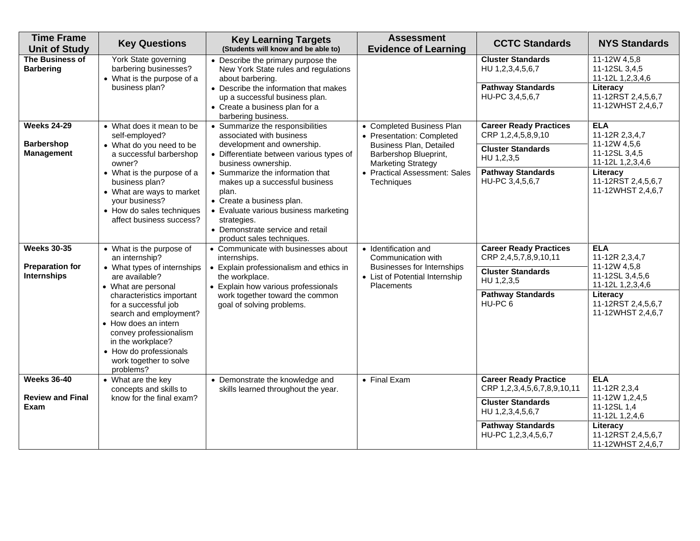| <b>Time Frame</b><br><b>Unit of Study</b>    | <b>Key Questions</b>                                                                                                                                                                                                | <b>Key Learning Targets</b><br>(Students will know and be able to)                                                                                                                                                                | <b>Assessment</b><br><b>Evidence of Learning</b>                                  | <b>CCTC Standards</b>                                       | <b>NYS Standards</b>                                |
|----------------------------------------------|---------------------------------------------------------------------------------------------------------------------------------------------------------------------------------------------------------------------|-----------------------------------------------------------------------------------------------------------------------------------------------------------------------------------------------------------------------------------|-----------------------------------------------------------------------------------|-------------------------------------------------------------|-----------------------------------------------------|
| The Business of<br><b>Barbering</b>          | York State governing<br>barbering businesses?<br>• What is the purpose of a                                                                                                                                         | • Describe the primary purpose the<br>New York State rules and regulations<br>about barbering.                                                                                                                                    |                                                                                   | <b>Cluster Standards</b><br>HU 1,2,3,4,5,6,7                | 11-12W 4,5,8<br>11-12SL 3,4,5<br>11-12L 1,2,3,4,6   |
|                                              | business plan?                                                                                                                                                                                                      | • Describe the information that makes<br>up a successful business plan.<br>• Create a business plan for a<br>barbering business.                                                                                                  |                                                                                   | <b>Pathway Standards</b><br>HU-PC 3,4,5,6,7                 | Literacy<br>11-12RST 2,4,5,6,7<br>11-12WHST 2,4,6,7 |
| <b>Weeks 24-29</b><br><b>Barbershop</b>      | • What does it mean to be<br>self-employed?<br>• What do you need to be                                                                                                                                             | • Summarize the responsibilities<br>associated with business<br>development and ownership.                                                                                                                                        | • Completed Business Plan<br>• Presentation: Completed                            | <b>Career Ready Practices</b><br>CRP 1,2,4,5,8,9,10         | <b>ELA</b><br>11-12R 2,3,4,7<br>11-12W 4,5,6        |
| <b>Management</b>                            | a successful barbershop<br>owner?                                                                                                                                                                                   | • Differentiate between various types of<br>business ownership.                                                                                                                                                                   | Business Plan, Detailed<br>Barbershop Blueprint,<br><b>Marketing Strategy</b>     | <b>Cluster Standards</b><br>HU 1,2,3,5                      | 11-12SL 3,4,5<br>11-12L 1,2,3,4,6                   |
|                                              | • What is the purpose of a<br>business plan?<br>• What are ways to market<br>your business?<br>• How do sales techniques<br>affect business success?                                                                | • Summarize the information that<br>makes up a successful business<br>plan.<br>• Create a business plan.<br>• Evaluate various business marketing<br>strategies.<br>• Demonstrate service and retail<br>product sales techniques. | • Practical Assessment: Sales<br>Techniques                                       | <b>Pathway Standards</b><br>HU-PC 3,4,5,6,7                 | Literacy<br>11-12RST 2,4,5,6,7<br>11-12WHST 2,4,6,7 |
| <b>Weeks 30-35</b><br><b>Preparation for</b> | • What is the purpose of<br>an internship?                                                                                                                                                                          | • Communicate with businesses about<br>internships.                                                                                                                                                                               | • Identification and<br>Communication with                                        | <b>Career Ready Practices</b><br>CRP 2,4,5,7,8,9,10,11      | <b>ELA</b><br>11-12R 2,3,4,7                        |
| Internships                                  | • What types of internships<br>are available?<br>• What are personal                                                                                                                                                | • Explain professionalism and ethics in<br>the workplace.<br>• Explain how various professionals                                                                                                                                  | <b>Businesses for Internships</b><br>• List of Potential Internship<br>Placements | <b>Cluster Standards</b><br>HU 1,2,3,5                      | 11-12W 4,5,8<br>11-12SL 3,4,5,6<br>11-12L 1,2,3,4,6 |
|                                              | characteristics important<br>for a successful job<br>search and employment?<br>• How does an intern<br>convey professionalism<br>in the workplace?<br>• How do professionals<br>work together to solve<br>problems? | work together toward the common<br>goal of solving problems.                                                                                                                                                                      |                                                                                   | <b>Pathway Standards</b><br>HU-PC <sub>6</sub>              | Literacy<br>11-12RST 2,4,5,6,7<br>11-12WHST 2,4,6,7 |
| <b>Weeks 36-40</b>                           | • What are the key<br>concepts and skills to                                                                                                                                                                        | • Demonstrate the knowledge and<br>skills learned throughout the year.                                                                                                                                                            | • Final Exam                                                                      | <b>Career Ready Practice</b><br>CRP 1,2,3,4,5,6,7,8,9,10,11 | <b>ELA</b><br>11-12R 2,3,4                          |
| <b>Review and Final</b><br>Exam              | know for the final exam?                                                                                                                                                                                            |                                                                                                                                                                                                                                   |                                                                                   | <b>Cluster Standards</b><br>HU 1,2,3,4,5,6,7                | 11-12W 1,2,4,5<br>11-12SL 1,4<br>11-12L 1,2,4,6     |
|                                              |                                                                                                                                                                                                                     |                                                                                                                                                                                                                                   |                                                                                   | <b>Pathway Standards</b><br>HU-PC 1,2,3,4,5,6,7             | Literacy<br>11-12RST 2,4,5,6,7<br>11-12WHST 2,4,6,7 |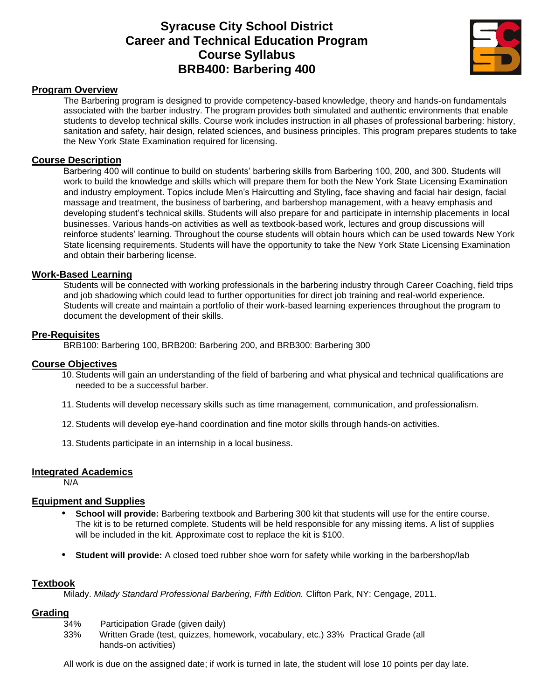# **Syracuse City School District Career and Technical Education Program Course Syllabus BRB400: Barbering 400**



# **Program Overview**

The Barbering program is designed to provide competency-based knowledge, theory and hands-on fundamentals associated with the barber industry. The program provides both simulated and authentic environments that enable students to develop technical skills. Course work includes instruction in all phases of professional barbering: history, sanitation and safety, hair design, related sciences, and business principles. This program prepares students to take the New York State Examination required for licensing.

# **Course Description**

Barbering 400 will continue to build on students' barbering skills from Barbering 100, 200, and 300. Students will work to build the knowledge and skills which will prepare them for both the New York State Licensing Examination and industry employment. Topics include Men's Haircutting and Styling, face shaving and facial hair design, facial massage and treatment, the business of barbering, and barbershop management, with a heavy emphasis and developing student's technical skills. Students will also prepare for and participate in internship placements in local businesses. Various hands-on activities as well as textbook-based work, lectures and group discussions will reinforce students' learning. Throughout the course students will obtain hours which can be used towards New York State licensing requirements. Students will have the opportunity to take the New York State Licensing Examination and obtain their barbering license.

#### **Work-Based Learning**

Students will be connected with working professionals in the barbering industry through Career Coaching, field trips and job shadowing which could lead to further opportunities for direct job training and real-world experience. Students will create and maintain a portfolio of their work-based learning experiences throughout the program to document the development of their skills.

# **Pre-Requisites**

BRB100: Barbering 100, BRB200: Barbering 200, and BRB300: Barbering 300

#### **Course Objectives**

- 10.Students will gain an understanding of the field of barbering and what physical and technical qualifications are needed to be a successful barber.
- 11.Students will develop necessary skills such as time management, communication, and professionalism.
- 12.Students will develop eye-hand coordination and fine motor skills through hands-on activities.
- 13.Students participate in an internship in a local business.

#### **Integrated Academics**

N/A

#### **Equipment and Supplies**

- **• School will provide:** Barbering textbook and Barbering 300 kit that students will use for the entire course. The kit is to be returned complete. Students will be held responsible for any missing items. A list of supplies will be included in the kit. Approximate cost to replace the kit is \$100.
- **• Student will provide:** A closed toed rubber shoe worn for safety while working in the barbershop/lab

# **Textbook**

Milady. *Milady Standard Professional Barbering, Fifth Edition.* Clifton Park, NY: Cengage, 2011.

#### **Grading**

- 34% Participation Grade (given daily)
- 33% Written Grade (test, quizzes, homework, vocabulary, etc.) 33% Practical Grade (all hands-on activities)

All work is due on the assigned date; if work is turned in late, the student will lose 10 points per day late.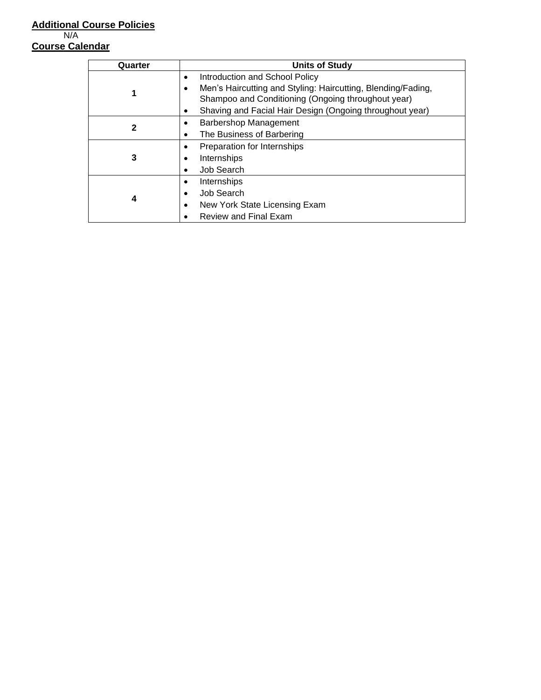# **Additional Course Policies** N/A **Course Calendar**

| Quarter | <b>Units of Study</b>                                        |
|---------|--------------------------------------------------------------|
|         | Introduction and School Policy                               |
|         | Men's Haircutting and Styling: Haircutting, Blending/Fading, |
|         | Shampoo and Conditioning (Ongoing throughout year)           |
|         | Shaving and Facial Hair Design (Ongoing throughout year)     |
| 2       | <b>Barbershop Management</b>                                 |
|         | The Business of Barbering                                    |
|         | Preparation for Internships                                  |
|         | Internships                                                  |
|         | Job Search                                                   |
|         | Internships                                                  |
| 4       | Job Search                                                   |
|         | New York State Licensing Exam                                |
|         | Review and Final Exam                                        |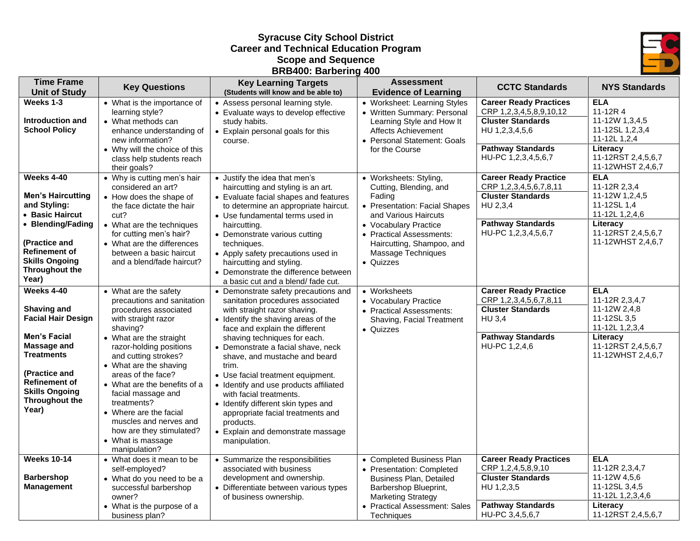# **Syracuse City School District Career and Technical Education Program Scope and Sequence BRB400: Barbering 400**



| <b>Time Frame</b><br><b>Unit of Study</b>                                                                                                                                                                      | <b>Key Questions</b>                                                                                                                                                                                                                                                                                                                                                                                                                     | <b>Key Learning Targets</b><br>(Students will know and be able to)                                                                                                                                                                                                                                                                                                                                                                                                                                                                                         | <b>Assessment</b><br><b>Evidence of Learning</b>                                                                                                                                                                                         | <b>CCTC Standards</b>                                                                                                                                     | <b>NYS Standards</b>                                                                                                                 |
|----------------------------------------------------------------------------------------------------------------------------------------------------------------------------------------------------------------|------------------------------------------------------------------------------------------------------------------------------------------------------------------------------------------------------------------------------------------------------------------------------------------------------------------------------------------------------------------------------------------------------------------------------------------|------------------------------------------------------------------------------------------------------------------------------------------------------------------------------------------------------------------------------------------------------------------------------------------------------------------------------------------------------------------------------------------------------------------------------------------------------------------------------------------------------------------------------------------------------------|------------------------------------------------------------------------------------------------------------------------------------------------------------------------------------------------------------------------------------------|-----------------------------------------------------------------------------------------------------------------------------------------------------------|--------------------------------------------------------------------------------------------------------------------------------------|
| Weeks 1-3<br>Introduction and<br><b>School Policy</b>                                                                                                                                                          | • What is the importance of<br>learning style?<br>• What methods can<br>enhance understanding of<br>new information?<br>• Why will the choice of this<br>class help students reach<br>their goals?                                                                                                                                                                                                                                       | • Assess personal learning style.<br>• Evaluate ways to develop effective<br>study habits.<br>• Explain personal goals for this<br>course.                                                                                                                                                                                                                                                                                                                                                                                                                 | • Worksheet: Learning Styles<br>• Written Summary: Personal<br>Learning Style and How It<br>Affects Achievement<br>• Personal Statement: Goals<br>for the Course                                                                         | <b>Career Ready Practices</b><br>CRP 1,2,3,4,5,8,9,10,12<br><b>Cluster Standards</b><br>HU 1,2,3,4,5,6<br><b>Pathway Standards</b><br>HU-PC 1,2,3,4,5,6,7 | <b>ELA</b><br>11-12R4<br>11-12W 1,3,4,5<br>11-12SL 1,2,3,4<br>11-12L 1,2,4<br>Literacy<br>11-12RST 2,4,5,6,7<br>11-12WHST 2,4,6,7    |
| Weeks 4-40<br><b>Men's Haircutting</b><br>and Styling:<br>• Basic Haircut<br>• Blending/Fading<br>(Practice and<br>Refinement of<br><b>Skills Ongoing</b><br><b>Throughout the</b><br>Year)                    | • Why is cutting men's hair<br>considered an art?<br>• How does the shape of<br>the face dictate the hair<br>cut?<br>• What are the techniques<br>for cutting men's hair?<br>• What are the differences<br>between a basic haircut<br>and a blend/fade haircut?                                                                                                                                                                          | • Justify the idea that men's<br>haircutting and styling is an art.<br>• Evaluate facial shapes and features<br>to determine an appropriate haircut.<br>• Use fundamental terms used in<br>haircutting.<br>• Demonstrate various cutting<br>techniques.<br>• Apply safety precautions used in<br>haircutting and styling.<br>• Demonstrate the difference between<br>a basic cut and a blend/fade cut.                                                                                                                                                     | • Worksheets: Styling,<br>Cutting, Blending, and<br>Fading<br>• Presentation: Facial Shapes<br>and Various Haircuts<br>• Vocabulary Practice<br>• Practical Assessments:<br>Haircutting, Shampoo, and<br>Massage Techniques<br>• Quizzes | <b>Career Ready Practice</b><br>CRP 1,2,3,4,5,6,7,8,11<br><b>Cluster Standards</b><br>HU 2,3,4<br><b>Pathway Standards</b><br>HU-PC 1,2,3,4,5,6,7         | <b>ELA</b><br>11-12R 2,3,4<br>11-12W 1,2,4,5<br>11-12SL 1,4<br>11-12L 1,2,4,6<br>Literacy<br>11-12RST 2,4,5,6,7<br>11-12WHST 2,4,6,7 |
| Weeks 4-40<br>Shaving and<br><b>Facial Hair Design</b><br>Men's Facial<br><b>Massage and</b><br><b>Treatments</b><br>(Practice and<br><b>Refinement of</b><br><b>Skills Ongoing</b><br>Throughout the<br>Year) | • What are the safety<br>precautions and sanitation<br>procedures associated<br>with straight razor<br>shaving?<br>• What are the straight<br>razor-holding positions<br>and cutting strokes?<br>• What are the shaving<br>areas of the face?<br>• What are the benefits of a<br>facial massage and<br>treatments?<br>• Where are the facial<br>muscles and nerves and<br>how are they stimulated?<br>• What is massage<br>manipulation? | • Demonstrate safety precautions and<br>sanitation procedures associated<br>with straight razor shaving.<br>• Identify the shaving areas of the<br>face and explain the different<br>shaving techniques for each.<br>• Demonstrate a facial shave, neck<br>shave, and mustache and beard<br>trim.<br>• Use facial treatment equipment.<br>• Identify and use products affiliated<br>with facial treatments.<br>• Identify different skin types and<br>appropriate facial treatments and<br>products.<br>• Explain and demonstrate massage<br>manipulation. | • Worksheets<br>• Vocabulary Practice<br>• Practical Assessments:<br>Shaving, Facial Treatment<br>• Quizzes                                                                                                                              | <b>Career Ready Practice</b><br>CRP 1,2,3,4,5,6,7,8,11<br><b>Cluster Standards</b><br><b>HU 3,4</b><br><b>Pathway Standards</b><br>HU-PC 1,2,4,6          | <b>ELA</b><br>11-12R 2,3,4,7<br>11-12W 2,4,8<br>11-12SL 3.5<br>11-12L 1,2,3,4<br>Literacy<br>11-12RST 2,4,5,6,7<br>11-12WHST 2,4,6,7 |
| <b>Weeks 10-14</b><br><b>Barbershop</b><br>Management                                                                                                                                                          | • What does it mean to be<br>self-employed?<br>• What do you need to be a<br>successful barbershop<br>owner?<br>• What is the purpose of a<br>business plan?                                                                                                                                                                                                                                                                             | • Summarize the responsibilities<br>associated with business<br>development and ownership.<br>• Differentiate between various types<br>of business ownership.                                                                                                                                                                                                                                                                                                                                                                                              | • Completed Business Plan<br>• Presentation: Completed<br><b>Business Plan, Detailed</b><br>Barbershop Blueprint,<br><b>Marketing Strategy</b><br>• Practical Assessment: Sales<br>Techniques                                            | <b>Career Ready Practices</b><br>CRP 1,2,4,5,8,9,10<br><b>Cluster Standards</b><br>HU 1,2,3,5<br><b>Pathway Standards</b><br>HU-PC 3,4,5,6,7              | <b>ELA</b><br>11-12R 2,3,4,7<br>11-12W 4.5.6<br>11-12SL 3,4,5<br>11-12L 1,2,3,4,6<br>Literacy<br>11-12RST 2,4,5,6,7                  |